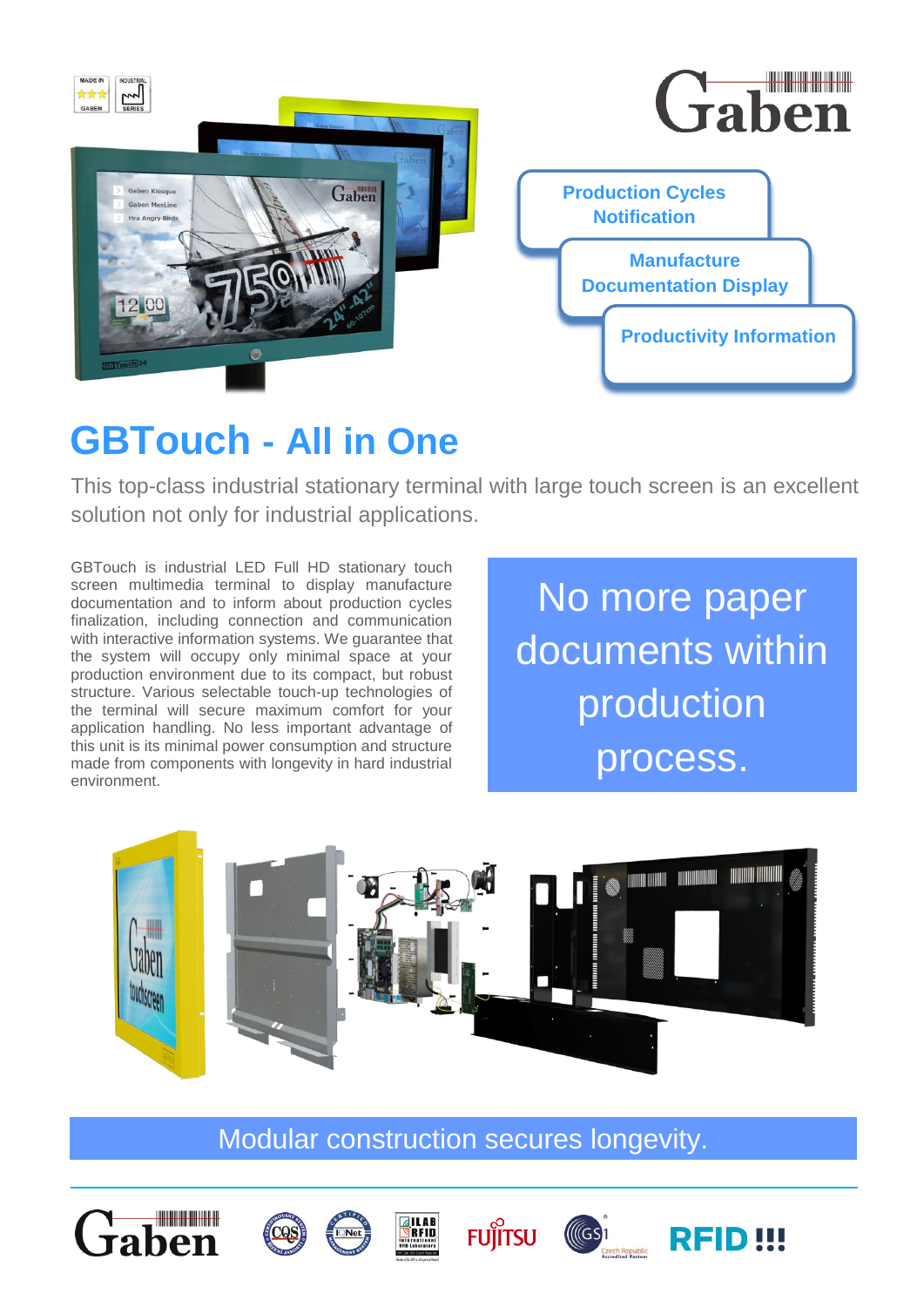

# **GBTouch - All in One**

This top-class industrial stationary terminal with large touch screen is an excellent solution not only for industrial applications.

GBTouch is industrial LED Full HD stationary touch screen multimedia terminal to display manufacture documentation and to inform about production cycles finalization, including connection and communication with interactive information systems. We guarantee that the system will occupy only minimal space at your production environment due to its compact, but robust structure. Various selectable touch-up technologies of the terminal will secure maximum comfort for your application handling. No less important advantage of this unit is its minimal power consumption and structure made from components with longevity in hard industrial environment.

No more paper documents within production process.



Modular construction secures longevity.